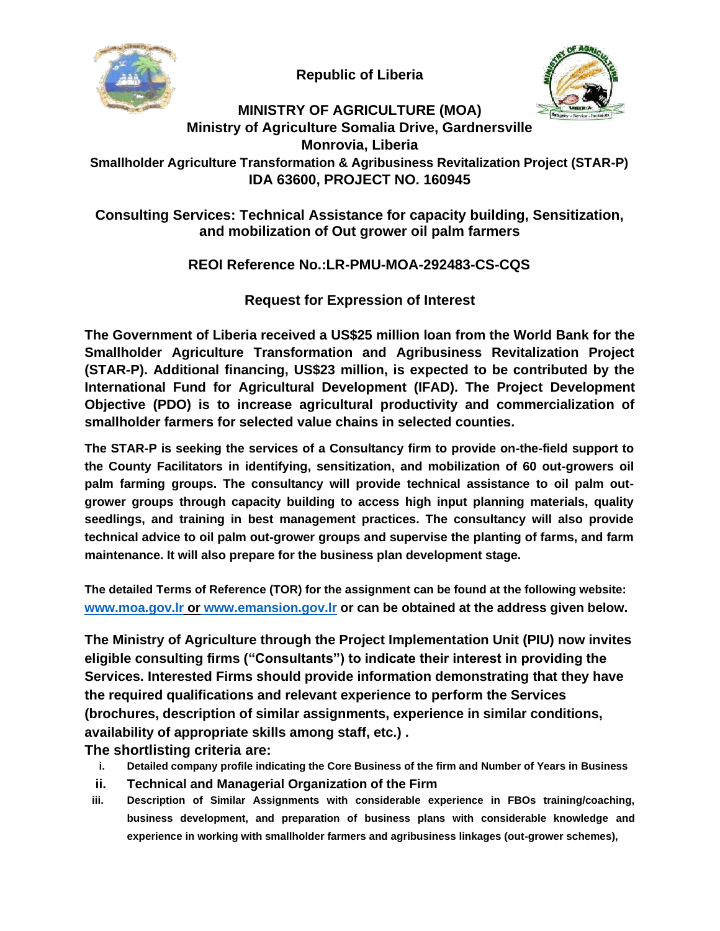**Republic of Liberia**



# **MINISTRY OF AGRICULTURE (MOA)**

**Ministry of Agriculture Somalia Drive, Gardnersville**

**Monrovia, Liberia**

**Smallholder Agriculture Transformation & Agribusiness Revitalization Project (STAR-P) IDA 63600, PROJECT NO. 160945**

## **Consulting Services: Technical Assistance for capacity building, Sensitization, and mobilization of Out grower oil palm farmers**

# **REOI Reference No.:LR-PMU-MOA-292483-CS-CQS**

**Request for Expression of Interest**

**The Government of Liberia received a US\$25 million loan from the World Bank for the Smallholder Agriculture Transformation and Agribusiness Revitalization Project (STAR-P). Additional financing, US\$23 million, is expected to be contributed by the International Fund for Agricultural Development (IFAD). The Project Development Objective (PDO) is to increase agricultural productivity and commercialization of smallholder farmers for selected value chains in selected counties.**

**The STAR-P is seeking the services of a Consultancy firm to provide on-the-field support to the County Facilitators in identifying, sensitization, and mobilization of 60 out-growers oil palm farming groups. The consultancy will provide technical assistance to oil palm outgrower groups through capacity building to access high input planning materials, quality seedlings, and training in best management practices. The consultancy will also provide technical advice to oil palm out-grower groups and supervise the planting of farms, and farm maintenance. It will also prepare for the business plan development stage.**

**The detailed Terms of Reference (TOR) for the assignment can be found at the following website: www.moa.gov.lr or www.emansion.gov.lr or can be obtained at the address given below.**

**The Ministry of Agriculture through the Project Implementation Unit (PIU) now invites eligible consulting firms ("Consultants") to indicate their interest in providing the Services. Interested Firms should provide information demonstrating that they have the required qualifications and relevant experience to perform the Services (brochures, description of similar assignments, experience in similar conditions, availability of appropriate skills among staff, etc.) .**

**The shortlisting criteria are:**

- **i. Detailed company profile indicating the Core Business of the firm and Number of Years in Business**
- **ii. Technical and Managerial Organization of the Firm**
- **iii. Description of Similar Assignments with considerable experience in FBOs training/coaching, business development, and preparation of business plans with considerable knowledge and experience in working with smallholder farmers and agribusiness linkages (out-grower schemes),**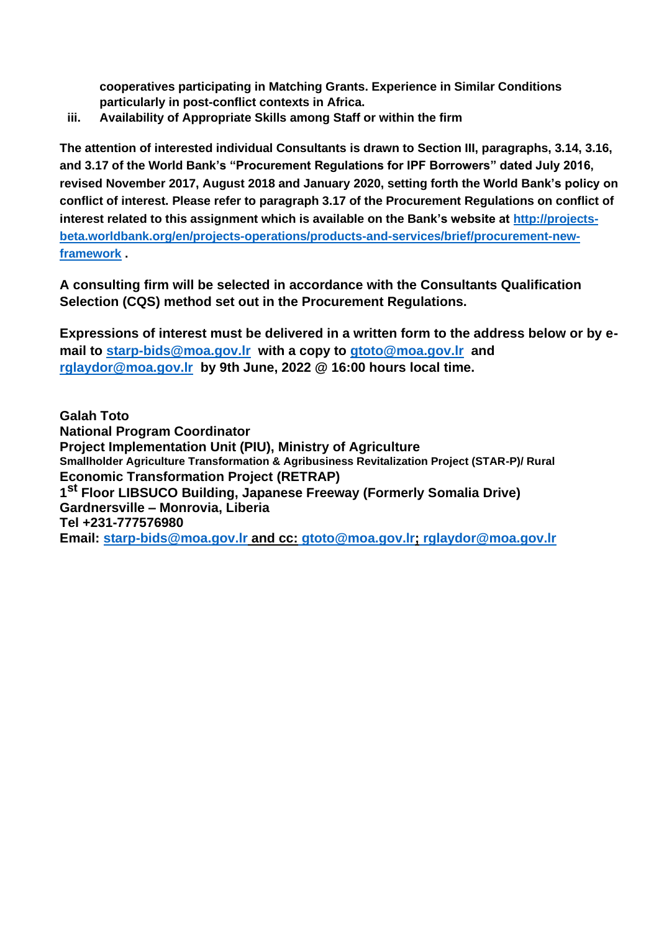**cooperatives participating in Matching Grants. Experience in Similar Conditions particularly in post-conflict contexts in Africa.**

**iii. Availability of Appropriate Skills among Staff or within the firm**

**The attention of interested individual Consultants is drawn to Section III, paragraphs, 3.14, 3.16, and 3.17 of the World Bank's "Procurement Regulations for IPF Borrowers" dated July 2016, revised November 2017, August 2018 and January 2020, setting forth the World Bank's policy on conflict of interest. Please refer to paragraph 3.17 of the Procurement Regulations on conflict of interest related to this assignment which is available on the Bank's website at [http://projects](http://projects-beta.worldbank.org/en/projects-operations/products-and-services/brief/procurement-new-framework)[beta.worldbank.org/en/projects-operations/products-and-services/brief/procurement-new](http://projects-beta.worldbank.org/en/projects-operations/products-and-services/brief/procurement-new-framework)[framework](http://projects-beta.worldbank.org/en/projects-operations/products-and-services/brief/procurement-new-framework) .**

**A consulting firm will be selected in accordance with the Consultants Qualification Selection (CQS) method set out in the Procurement Regulations.**

**Expressions of interest must be delivered in a written form to the address below or by email to [starp-bids@moa.gov.lr](mailto:starp-bids@moa.gov.lr) with a copy to [gtoto@moa.gov.lr](mailto:gtoto@moa.gov.lr) and [rglaydor@moa.gov.lr](mailto:rglaydor@moa.gov.lr) by 9th June, 2022 @ 16:00 hours local time.**

**Galah Toto National Program Coordinator Project Implementation Unit (PIU), Ministry of Agriculture Smallholder Agriculture Transformation & Agribusiness Revitalization Project (STAR-P)/ Rural Economic Transformation Project (RETRAP) 1 st Floor LIBSUCO Building, Japanese Freeway (Formerly Somalia Drive) Gardnersville – Monrovia, Liberia Tel +231-777576980 Email: starp-bids@moa.gov.lr and cc: gtoto@moa.gov.lr; rglaydor@moa.gov.lr**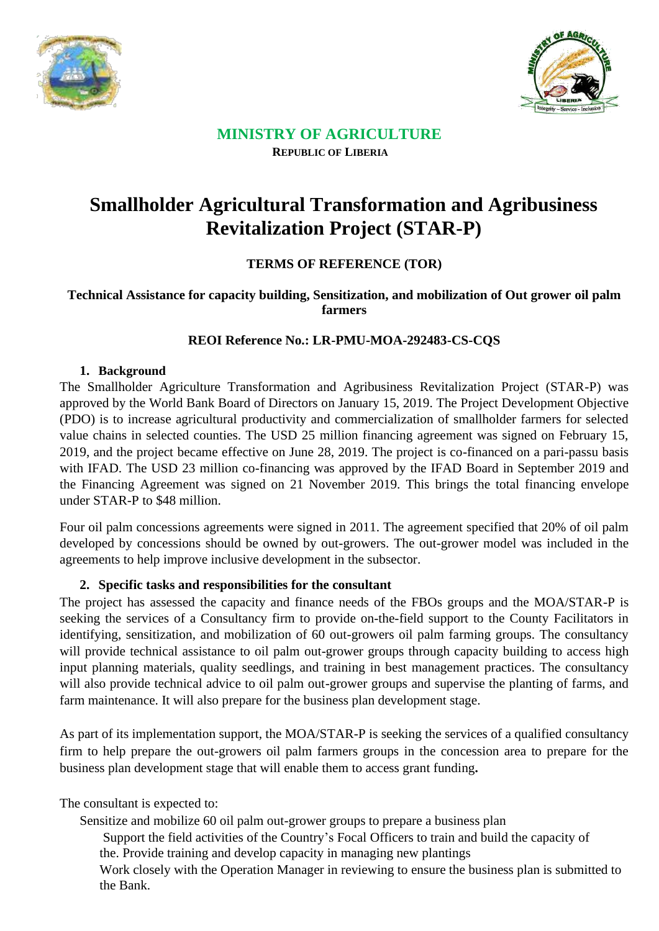



## **MINISTRY OF AGRICULTURE REPUBLIC OF LIBERIA**

# **Smallholder Agricultural Transformation and Agribusiness Revitalization Project (STAR-P)**

## **TERMS OF REFERENCE (TOR)**

## **Technical Assistance for capacity building, Sensitization, and mobilization of Out grower oil palm farmers**

## **REOI Reference No.: LR-PMU-MOA-292483-CS-CQS**

#### **1. Background**

The Smallholder Agriculture Transformation and Agribusiness Revitalization Project (STAR-P) was approved by the World Bank Board of Directors on January 15, 2019. The Project Development Objective (PDO) is to increase agricultural productivity and commercialization of smallholder farmers for selected value chains in selected counties. The USD 25 million financing agreement was signed on February 15, 2019, and the project became effective on June 28, 2019. The project is co-financed on a pari-passu basis with IFAD. The USD 23 million co-financing was approved by the IFAD Board in September 2019 and the Financing Agreement was signed on 21 November 2019. This brings the total financing envelope under STAR-P to \$48 million.

Four oil palm concessions agreements were signed in 2011. The agreement specified that 20% of oil palm developed by concessions should be owned by out-growers. The out-grower model was included in the agreements to help improve inclusive development in the subsector.

## **2. Specific tasks and responsibilities for the consultant**

The project has assessed the capacity and finance needs of the FBOs groups and the MOA/STAR-P is seeking the services of a Consultancy firm to provide on-the-field support to the County Facilitators in identifying, sensitization, and mobilization of 60 out-growers oil palm farming groups. The consultancy will provide technical assistance to oil palm out-grower groups through capacity building to access high input planning materials, quality seedlings, and training in best management practices. The consultancy will also provide technical advice to oil palm out-grower groups and supervise the planting of farms, and farm maintenance. It will also prepare for the business plan development stage.

As part of its implementation support, the MOA/STAR-P is seeking the services of a qualified consultancy firm to help prepare the out-growers oil palm farmers groups in the concession area to prepare for the business plan development stage that will enable them to access grant funding**.**

The consultant is expected to:

Sensitize and mobilize 60 oil palm out-grower groups to prepare a business plan

Support the field activities of the Country's Focal Officers to train and build the capacity of the. Provide training and develop capacity in managing new plantings

Work closely with the Operation Manager in reviewing to ensure the business plan is submitted to the Bank.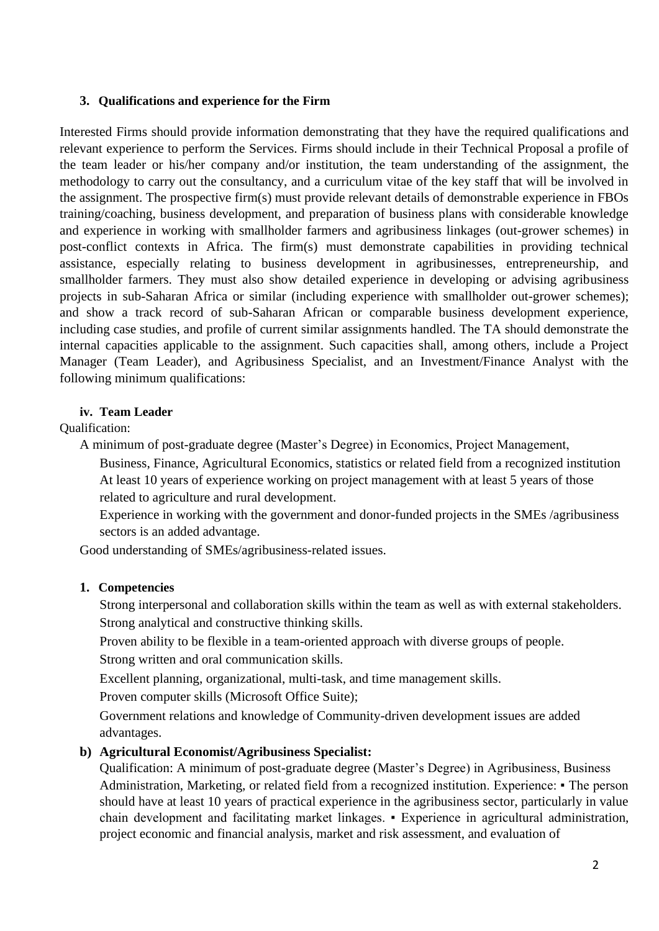#### **3. Qualifications and experience for the Firm**

Interested Firms should provide information demonstrating that they have the required qualifications and relevant experience to perform the Services. Firms should include in their Technical Proposal a profile of the team leader or his/her company and/or institution, the team understanding of the assignment, the methodology to carry out the consultancy, and a curriculum vitae of the key staff that will be involved in the assignment. The prospective firm(s) must provide relevant details of demonstrable experience in FBOs training/coaching, business development, and preparation of business plans with considerable knowledge and experience in working with smallholder farmers and agribusiness linkages (out-grower schemes) in post-conflict contexts in Africa. The firm(s) must demonstrate capabilities in providing technical assistance, especially relating to business development in agribusinesses, entrepreneurship, and smallholder farmers. They must also show detailed experience in developing or advising agribusiness projects in sub-Saharan Africa or similar (including experience with smallholder out-grower schemes); and show a track record of sub-Saharan African or comparable business development experience, including case studies, and profile of current similar assignments handled. The TA should demonstrate the internal capacities applicable to the assignment. Such capacities shall, among others, include a Project Manager (Team Leader), and Agribusiness Specialist, and an Investment/Finance Analyst with the following minimum qualifications:

#### **iv. Team Leader**

Qualification:

A minimum of post-graduate degree (Master's Degree) in Economics, Project Management,

Business, Finance, Agricultural Economics, statistics or related field from a recognized institution At least 10 years of experience working on project management with at least 5 years of those related to agriculture and rural development.

Experience in working with the government and donor-funded projects in the SMEs /agribusiness sectors is an added advantage.

Good understanding of SMEs/agribusiness-related issues.

#### **1. Competencies**

Strong interpersonal and collaboration skills within the team as well as with external stakeholders. Strong analytical and constructive thinking skills.

Proven ability to be flexible in a team-oriented approach with diverse groups of people.

Strong written and oral communication skills.

Excellent planning, organizational, multi-task, and time management skills.

Proven computer skills (Microsoft Office Suite);

Government relations and knowledge of Community-driven development issues are added advantages.

#### **b) Agricultural Economist/Agribusiness Specialist:**

Qualification: A minimum of post-graduate degree (Master's Degree) in Agribusiness, Business Administration, Marketing, or related field from a recognized institution. Experience: • The person should have at least 10 years of practical experience in the agribusiness sector, particularly in value chain development and facilitating market linkages. ▪ Experience in agricultural administration, project economic and financial analysis, market and risk assessment, and evaluation of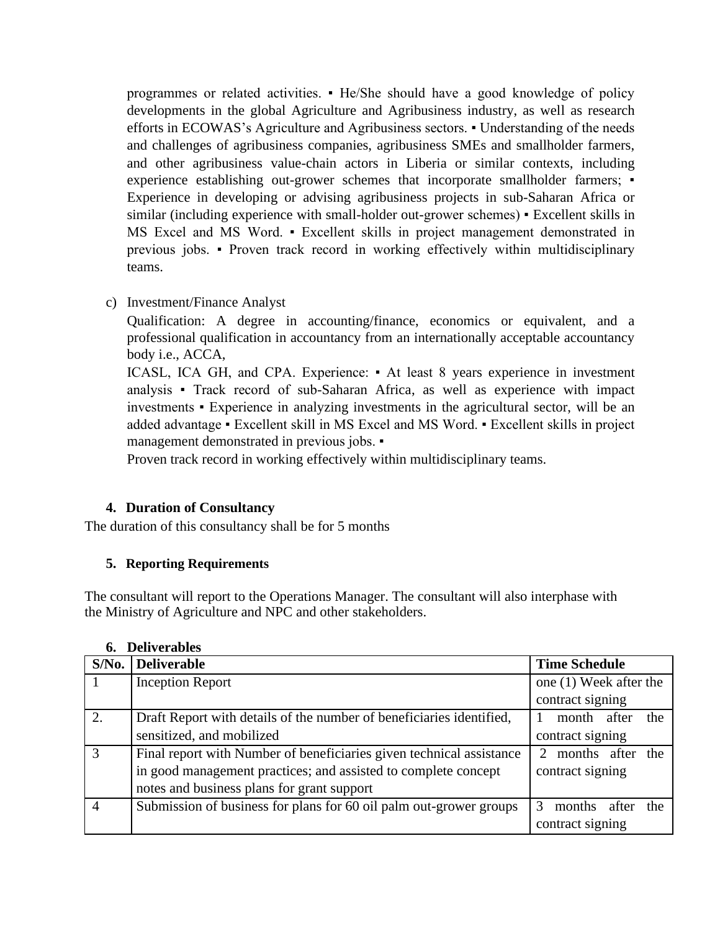programmes or related activities. ▪ He/She should have a good knowledge of policy developments in the global Agriculture and Agribusiness industry, as well as research efforts in ECOWAS's Agriculture and Agribusiness sectors. ▪ Understanding of the needs and challenges of agribusiness companies, agribusiness SMEs and smallholder farmers, and other agribusiness value-chain actors in Liberia or similar contexts, including experience establishing out-grower schemes that incorporate smallholder farmers; • Experience in developing or advising agribusiness projects in sub-Saharan Africa or similar (including experience with small-holder out-grower schemes) • Excellent skills in MS Excel and MS Word. ▪ Excellent skills in project management demonstrated in previous jobs. ▪ Proven track record in working effectively within multidisciplinary teams.

c) Investment/Finance Analyst

Qualification: A degree in accounting/finance, economics or equivalent, and a professional qualification in accountancy from an internationally acceptable accountancy body i.e., ACCA,

ICASL, ICA GH, and CPA. Experience: • At least 8 years experience in investment analysis ▪ Track record of sub-Saharan Africa, as well as experience with impact investments ▪ Experience in analyzing investments in the agricultural sector, will be an added advantage ▪ Excellent skill in MS Excel and MS Word. ▪ Excellent skills in project management demonstrated in previous jobs. ▪

Proven track record in working effectively within multidisciplinary teams.

#### **4. Duration of Consultancy**

The duration of this consultancy shall be for 5 months

#### **5. Reporting Requirements**

The consultant will report to the Operations Manager. The consultant will also interphase with the Ministry of Agriculture and NPC and other stakeholders.

| <i>b</i> urvelame |                                                                      |                        |  |
|-------------------|----------------------------------------------------------------------|------------------------|--|
| $S/N0$ .          | <b>Deliverable</b>                                                   | <b>Time Schedule</b>   |  |
|                   | <b>Inception Report</b>                                              | one (1) Week after the |  |
|                   |                                                                      | contract signing       |  |
| 2.                | Draft Report with details of the number of beneficiaries identified, | month after<br>the     |  |
|                   | sensitized, and mobilized                                            | contract signing       |  |
| $\mathcal{R}$     | Final report with Number of beneficiaries given technical assistance | months after<br>the    |  |
|                   | in good management practices; and assisted to complete concept       | contract signing       |  |
|                   | notes and business plans for grant support                           |                        |  |
|                   | Submission of business for plans for 60 oil palm out-grower groups   | months<br>after<br>the |  |
|                   |                                                                      | contract signing       |  |

| <b>Deliverables</b><br>6. |  |
|---------------------------|--|
|---------------------------|--|